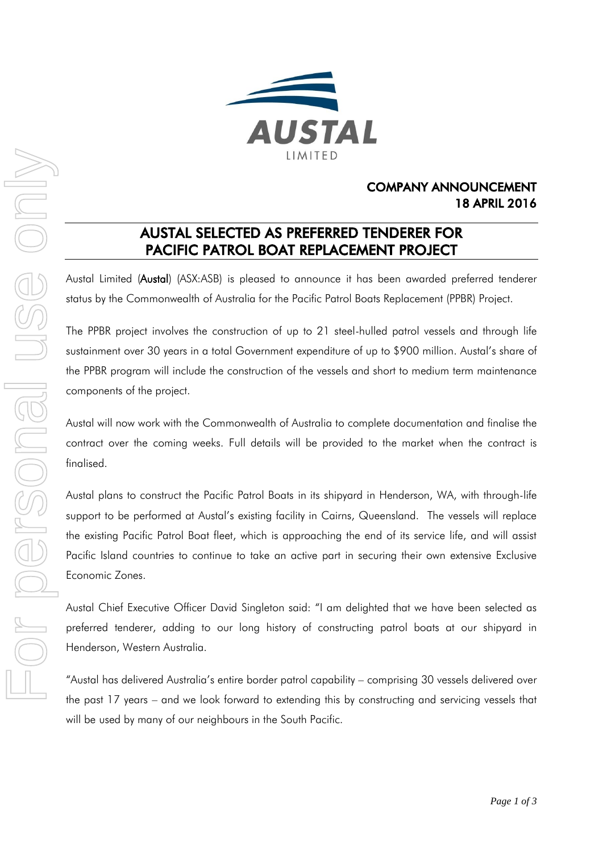

# COMPANY ANNOUNCEMENT 18 APRIL 2016

# AUSTAL SELECTED AS PREFERRED TENDERER FOR PACIFIC PATROL BOAT REPLACEMENT PROJECT

Austal Limited (Austal) (ASX:ASB) is pleased to announce it has been awarded preferred tenderer status by the Commonwealth of Australia for the Pacific Patrol Boats Replacement (PPBR) Project.

The PPBR project involves the construction of up to 21 steel-hulled patrol vessels and through life sustainment over 30 years in a total Government expenditure of up to \$900 million. Austal's share of the PPBR program will include the construction of the vessels and short to medium term maintenance components of the project.

Austal will now work with the Commonwealth of Australia to complete documentation and finalise the contract over the coming weeks. Full details will be provided to the market when the contract is finalised.

Austal plans to construct the Pacific Patrol Boats in its shipyard in Henderson, WA, with through-life support to be performed at Austal's existing facility in Cairns, Queensland. The vessels will replace the existing Pacific Patrol Boat fleet, which is approaching the end of its service life, and will assist Pacific Island countries to continue to take an active part in securing their own extensive Exclusive Economic Zones.

Austal Chief Executive Officer David Singleton said: "I am delighted that we have been selected as preferred tenderer, adding to our long history of constructing patrol boats at our shipyard in Henderson, Western Australia.

"Austal has delivered Australia's entire border patrol capability – comprising 30 vessels delivered over the past 17 years – and we look forward to extending this by constructing and servicing vessels that will be used by many of our neighbours in the South Pacific.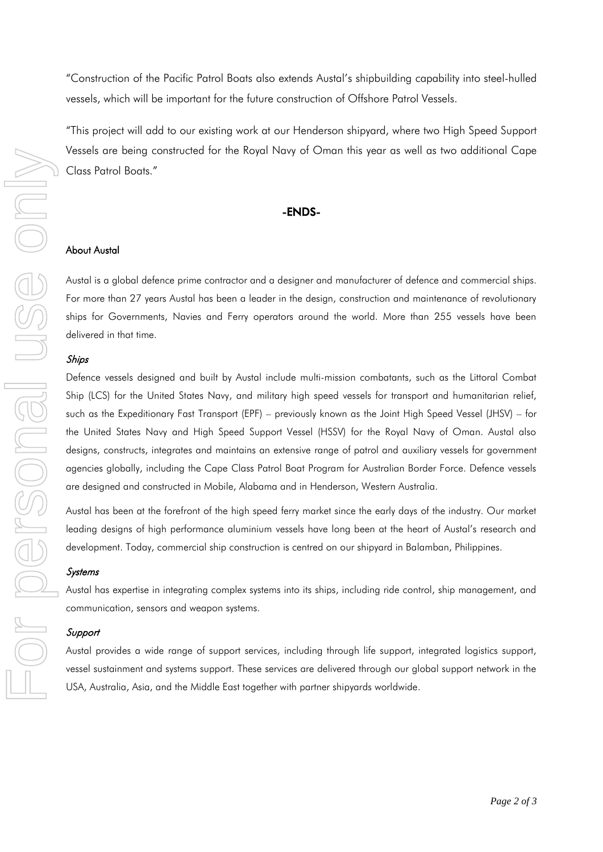"Construction of the Pacific Patrol Boats also extends Austal's shipbuilding capability into steel-hulled vessels, which will be important for the future construction of Offshore Patrol Vessels.

"This project will add to our existing work at our Henderson shipyard, where two High Speed Support Vessels are being constructed for the Royal Navy of Oman this year as well as two additional Cape Class Patrol Boats."

### -ENDS-

## About Austal

Austal is a global defence prime contractor and a designer and manufacturer of defence and commercial ships. For more than 27 years Austal has been a leader in the design, construction and maintenance of revolutionary ships for Governments, Navies and Ferry operators around the world. More than 255 vessels have been delivered in that time.

#### Ships

Defence vessels designed and built by Austal include multi-mission combatants, such as the Littoral Combat Ship (LCS) for the United States Navy, and military high speed vessels for transport and humanitarian relief, such as the Expeditionary Fast Transport (EPF) – previously known as the Joint High Speed Vessel (JHSV) – for the United States Navy and High Speed Support Vessel (HSSV) for the Royal Navy of Oman. Austal also designs, constructs, integrates and maintains an extensive range of patrol and auxiliary vessels for government agencies globally, including the Cape Class Patrol Boat Program for Australian Border Force. Defence vessels are designed and constructed in Mobile, Alabama and in Henderson, Western Australia. FOR THE SEAL AUST THE SEAL AUST THE SEAL AUST THE SEAL AUST THE SEAL AUST THE SEAL AUST THE SEAL AUST THE SEAL AUST THE SEAL AUST THE DREAM AND ALSO THE MIGHE SEAL AUSTRALIA USE THE MIGHE SEAL DREAM AND SHIPS THE DREAM OF

Austal has been at the forefront of the high speed ferry market since the early days of the industry. Our market leading designs of high performance aluminium vessels have long been at the heart of Austal's research and development. Today, commercial ship construction is centred on our shipyard in Balamban, Philippines.

#### **Systems**

Austal has expertise in integrating complex systems into its ships, including ride control, ship management, and communication, sensors and weapon systems.

#### **Support**

Austal provides a wide range of support services, including through life support, integrated logistics support, vessel sustainment and systems support. These services are delivered through our global support network in the